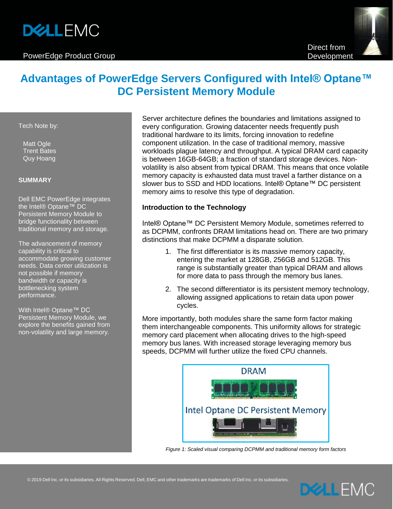# **DELLEMC**

#### PowerEdge Product Group

# **Advantages of PowerEdge Servers Configured with Intel® Optane™ DC Persistent Memory Module**

Tech Note by:

Matt Ogle Trent Bates Quy Hoang

#### **SUMMARY**

Dell EMC PowerEdge integrates the Intel® Optane™ DC Persistent Memory Module to bridge functionality between traditional memory and storage.

The advancement of memory capability is critical to accommodate growing customer needs. Data center utilization is not possible if memory bandwidth or capacity is bottlenecking system performance.

With Intel® Optane™ DC Persistent Memory Module, we explore the benefits gained from non-volatility and large memory.

Server architecture defines the boundaries and limitations assigned to every configuration. Growing datacenter needs frequently push traditional hardware to its limits, forcing innovation to redefine component utilization. In the case of traditional memory, massive workloads plague latency and throughput. A typical DRAM card capacity is between 16GB-64GB; a fraction of standard storage devices. Nonvolatility is also absent from typical DRAM. This means that once volatile memory capacity is exhausted data must travel a farther distance on a slower bus to SSD and HDD locations. Intel® Optane™ DC persistent memory aims to resolve this type of degradation.

# **Introduction to the Technology**

Intel® Optane™ DC Persistent Memory Module, sometimes referred to as DCPMM, confronts DRAM limitations head on. There are two primary distinctions that make DCPMM a disparate solution.

- 1. The first differentiator is its massive memory capacity, entering the market at 128GB, 256GB and 512GB. This range is substantially greater than typical DRAM and allows for more data to pass through the memory bus lanes.
- 2. The second differentiator is its persistent memory technology, allowing assigned applications to retain data upon power cycles.

More importantly, both modules share the same form factor making them interchangeable components. This uniformity allows for strategic memory card placement when allocating drives to the high-speed memory bus lanes. With increased storage leveraging memory bus speeds, DCPMM will further utilize the fixed CPU channels.



*Figure 1: Scaled visual comparing DCPMM and traditional memory form factors*

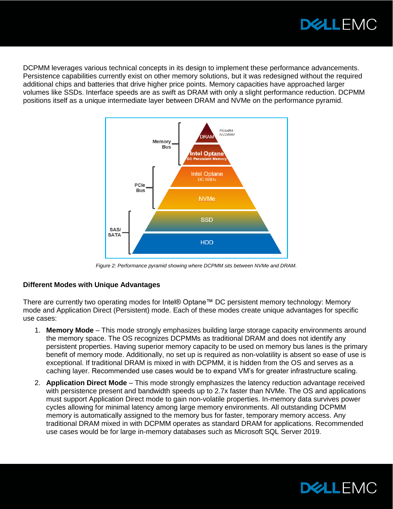

DCPMM leverages various technical concepts in its design to implement these performance advancements. Persistence capabilities currently exist on other memory solutions, but it was redesigned without the required additional chips and batteries that drive higher price points. Memory capacities have approached larger volumes like SSDs. Interface speeds are as swift as DRAM with only a slight performance reduction. DCPMM positions itself as a unique intermediate layer between DRAM and NVMe on the performance pyramid.



*Figure 2: Performance pyramid showing where DCPMM sits between NVMe and DRAM.* 

# **Different Modes with Unique Advantages**

There are currently two operating modes for Intel® Optane™ DC persistent memory technology: Memory mode and Application Direct (Persistent) mode. Each of these modes create unique advantages for specific use cases:

- 1. **Memory Mode** This mode strongly emphasizes building large storage capacity environments around the memory space. The OS recognizes DCPMMs as traditional DRAM and does not identify any persistent properties. Having superior memory capacity to be used on memory bus lanes is the primary benefit of memory mode. Additionally, no set up is required as non-volatility is absent so ease of use is exceptional. If traditional DRAM is mixed in with DCPMM, it is hidden from the OS and serves as a caching layer. Recommended use cases would be to expand VM's for greater infrastructure scaling.
- 2. **Application Direct Mode** This mode strongly emphasizes the latency reduction advantage received with persistence present and bandwidth speeds up to 2.7x faster than NVMe. The OS and applications must support Application Direct mode to gain non-volatile properties. In-memory data survives power cycles allowing for minimal latency among large memory environments. All outstanding DCPMM memory is automatically assigned to the memory bus for faster, temporary memory access. Any traditional DRAM mixed in with DCPMM operates as standard DRAM for applications. Recommended use cases would be for large in-memory databases such as Microsoft SQL Server 2019.